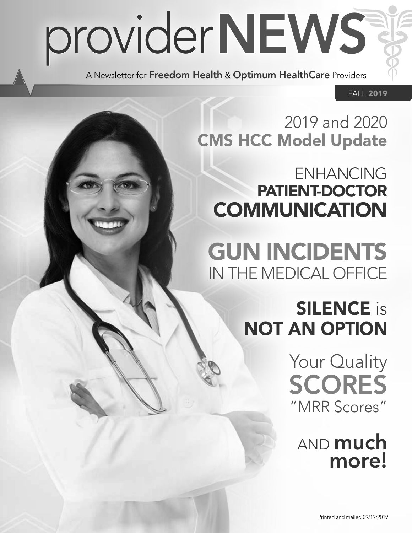# providerNEWS

A Newsletter for Freedom Health & Optimum HealthCare Providers

FALL 2019

## 2019 and 2020 CMS HCC Model Update

## ENHANCING PATIENT-DOCTOR **COMMUNICATION**

GUN INCIDENTS IN THE MEDICAL OFFICE

# **SILENCE** is NOT AN OPTION

Your Quality SCORES "MRR Scores"

AND **much** more!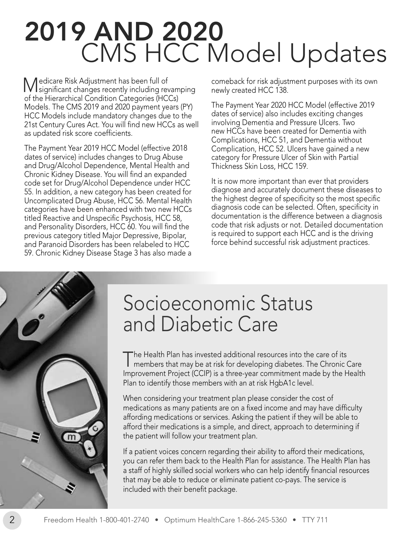# 2019 AND 2020 CMS HCC Model Updates

Medicare Risk Adjustment has been full of significant changes recently including revamping of the Hierarchical Condition Categories (HCCs) Models. The CMS 2019 and 2020 payment years (PY) HCC Models include mandatory changes due to the 21st Century Cures Act. You will find new HCCs as well as updated risk score coefficients.

The Payment Year 2019 HCC Model (effective 2018 dates of service) includes changes to Drug Abuse and Drug/Alcohol Dependence, Mental Health and Chronic Kidney Disease. You will find an expanded code set for Drug/Alcohol Dependence under HCC 55. In addition, a new category has been created for Uncomplicated Drug Abuse, HCC 56. Mental Health categories have been enhanced with two new HCCs titled Reactive and Unspecific Psychosis, HCC 58, and Personality Disorders, HCC 60. You will find the previous category titled Major Depressive, Bipolar, and Paranoid Disorders has been relabeled to HCC 59. Chronic Kidney Disease Stage 3 has also made a

comeback for risk adjustment purposes with its own newly created HCC 138.

The Payment Year 2020 HCC Model (effective 2019 dates of service) also includes exciting changes involving Dementia and Pressure Ulcers. Two new HCCs have been created for Dementia with Complications, HCC 51, and Dementia without Complication, HCC 52. Ulcers have gained a new category for Pressure Ulcer of Skin with Partial Thickness Skin Loss, HCC 159.

It is now more important than ever that providers diagnose and accurately document these diseases to the highest degree of specificity so the most specific diagnosis code can be selected. Often, specificity in documentation is the difference between a diagnosis code that risk adjusts or not. Detailed documentation is required to support each HCC and is the driving force behind successful risk adjustment practices.



# Socioeconomic Status and Diabetic Care

The Health Plan has invested additional resources into the care of its members that may be at risk for developing diabetes. The Chronic Care Improvement Project (CCIP) is a three-year commitment made by the Health Plan to identify those members with an at risk HgbA1c level.

When considering your treatment plan please consider the cost of medications as many patients are on a fixed income and may have difficulty affording medications or services. Asking the patient if they will be able to afford their medications is a simple, and direct, approach to determining if the patient will follow your treatment plan.

If a patient voices concern regarding their ability to afford their medications, you can refer them back to the Health Plan for assistance. The Health Plan has a staff of highly skilled social workers who can help identify financial resources that may be able to reduce or eliminate patient co-pays. The service is included with their benefit package.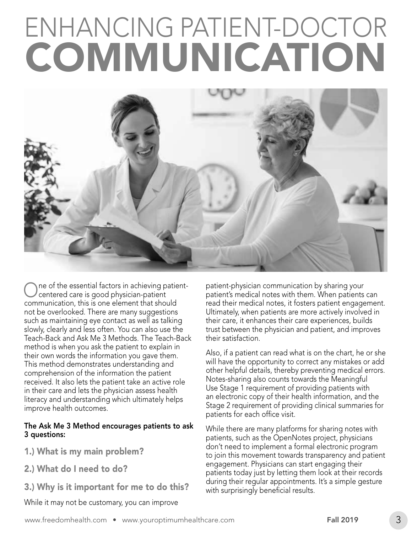# ENHANCING P ATIENT-DOCTOR COMMUNICA TION



such as maintaining eye contact as well as talking their care, it enhances their care experiences, builds Teach-Back and Ask Me 3 Methods. The Teach-Back their satisfaction.

## The Ask Me 3 Method encourages patients to ask<br>3 questions: patients, such as the OpenNotes project, physicians<br>patients, such as the OpenNotes project, physicians

- 
- 
- 

While it may not be customary, you can improve

One of the essential factors in achieving patient-<br>Contered care is good physician-patient patient's medical notes with them. When patients can<br>patient's medical notes with them. When patients can communication, this is one element that should read their medical notes, it fosters patient engagement. not be overlooked. There are many suggestions Ultimately, when patients are more actively involved in slowly, clearly and less often. You can also use the trust between the physician and patient, and improves

method is when you ask the patient to explain in<br>their own words the information you gave them.<br>This method demonstrates understanding and<br>comprehension of the information the patient<br>received. It also lets the patient tak

1.) What is my main problem?<br>
1.) What is my main problem?<br>
to join this movement towards transparency and patio to join this movement towards transparency and patient 2.) What do I need to do? engagement. Physicians can start engaging their patients today just by letting them look at their records 3.) Why is it important for me to do this? during their regular appointments. It's a simple gesture with surprisingly beneficial results.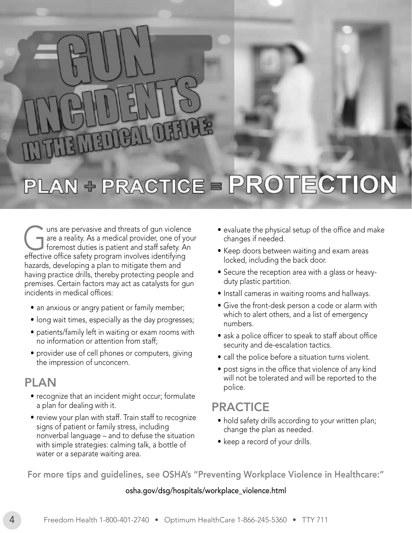# MEL

# PLAN + PRACTICE = PROTECTION

The uns are pervasive and threats of gun violence<br>are a reality. As a medical provider, one of you<br>foremost duties is patient and staff safety. An are a reality. As a medical provider, one of your foremost duties is patient and staff safety. An effective office safety program involves identifying hazards, developing a plan to mitigate them and having practice drills, thereby protecting people and premises. Certain factors may act as catalysts for gun incidents in medical offices:

- an anxious or angry patient or family member;
- long wait times, especially as the day progresses;
- patients/family left in waiting or exam rooms with no information or attention from staff;
- provider use of cell phones or computers, giving the impression of unconcern.

#### PLAN

- recognize that an incident might occur; formulate a plan for dealing with it.
- review your plan with staff. Train staff to recognize signs of patient or family stress, including nonverbal language – and to defuse the situation with simple strategies: calming talk, a bottle of water or a separate waiting area.
- evaluate the physical setup of the office and make changes if needed.
- Keep doors between waiting and exam areas locked, including the back door.
- Secure the reception area with a glass or heavyduty plastic partition.
- Install cameras in waiting rooms and hallways.
- Give the front-desk person a code or alarm with which to alert others, and a list of emergency numbers.
- ask a police officer to speak to staff about office security and de-escalation tactics.
- call the police before a situation turns violent.
- post signs in the office that violence of any kind will not be tolerated and will be reported to the police.

#### PRACTICE

- hold safety drills according to your written plan; change the plan as needed.
- keep a record of your drills.

For more tips and guidelines, see OSHA's "Preventing Workplace Violence in Healthcare:"

#### [osha.gov/dsg/hospitals/workplace\\_violence.html](http://osha.gov/dsg/hospitals/workplace_violence.html)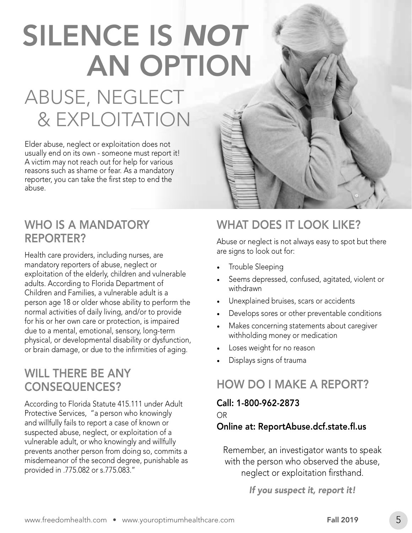# SILENCE IS *NOT* AN OPTION

# ABUSE, NEGLECT & EXPLOITATION

Elder abuse, neglect or exploitation does not usually end on its own - someone must report it! A victim may not reach out for help for various reasons such as shame or fear. As a mandatory reporter, you can take the first step to end the abuse.

#### WHO IS A MANDATORY REPORTER?

Health care providers, including nurses, are mandatory reporters of abuse, neglect or exploitation of the elderly, children and vulnerable adults. According to Florida Department of Children and Families, a vulnerable adult is a person age 18 or older whose ability to perform the normal activities of daily living, and/or to provide for his or her own care or protection, is impaired due to a mental, emotional, sensory, long-term physical, or developmental disability or dysfunction, or brain damage, or due to the infirmities of aging.

#### WILL THERE BE ANY CONSEQUENCES?

According to Florida Statute 415.111 under Adult Protective Services, "a person who knowingly and willfully fails to report a case of known or suspected abuse, neglect, or exploitation of a vulnerable adult, or who knowingly and willfully prevents another person from doing so, commits a misdemeanor of the second degree, punishable as provided in .775.082 or s.775.083."

#### WHAT DOES IT LOOK LIKE?

Abuse or neglect is not always easy to spot but there are signs to look out for:

- Trouble Sleeping
- Seems depressed, confused, agitated, violent or withdrawn
- • Unexplained bruises, scars or accidents
- Develops sores or other preventable conditions
- Makes concerning statements about caregiver withholding money or medication
- Loses weight for no reason
- Displays signs of trauma

#### HOW DO I MAKE A REPORT?

Call: 1-800-962-2873 OR

#### Online at: [ReportAbuse.dcf.state.fl.us](http://ReportAbuse.dcf.state.fl.us)

Remember, an investigator wants to speak with the person who observed the abuse, neglect or exploitation firsthand.

*If you suspect it, report it!*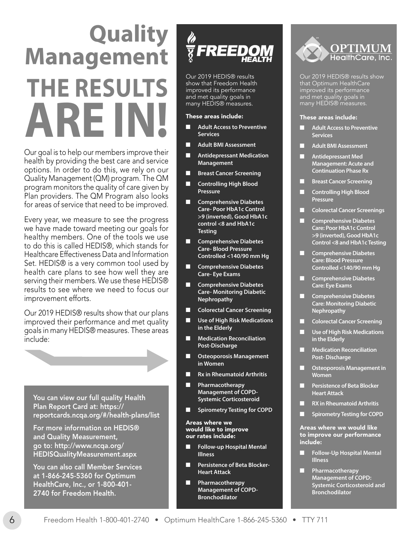# **THE RESULTS ARE IN! Quality Management**

Our goal is to help our members improve their health by providing the best care and service options. In order to do this, we rely on our Quality Management (QM) program. The QM program monitors the quality of care given by Plan providers. The QM Program also looks for areas of service that need to be improved.

Every year, we measure to see the progress we have made toward meeting our goals for healthy members. One of the tools we use to do this is called HEDIS®, which stands for Healthcare Effectiveness Data and Information Set. HEDIS® is a very common tool used by health care plans to see how well they are serving their members. We use these HEDIS® results to see where we need to focus our improvement efforts.

Our 2019 HEDIS® results show that our plans improved their performance and met quality goals in many HEDIS® measures. These areas include:



For more information on HEDIS® and Quality Measurement, go to: http://www.ncqa.org/ [HEDISQualityMeasurement.aspx](http://www.ncqa.org/HEDISQualityMeasurement.aspx)

You can also call Member Services at 1-866-245-5360 for Optimum HealthCare, Inc., or 1-800-401- 2740 for Freedom Health.



Our 2019 HEDIS® results show that Freedom Health improved its performance and met quality goals in many HEDIS<sup>®</sup> measures.

#### These areas include:

- **Adult Access to Preventive Services**
- **Adult BMI Assessment**
- **Antidepressant Medication Management**
- **Breast Cancer Screening**
- **Controlling High Blood Pressure**
- **Comprehensive Diabetes Care- Poor HbA1c Control >9 (inverted), Good HbA1c control <8 and HbA1c Testing**
- **Comprehensive Diabetes Care- Blood Pressure Controlled <140/90 mm Hg**
- **Comprehensive Diabetes Care- Eye Exams**
- **Comprehensive Diabetes Care- Monitoring Diabetic Nephropathy**
- **Colorectal Cancer Screening**
- **Use of High Risk Medications in the Elderly**
- **Medication Reconciliation Post-Discharge**
- **Osteoporosis Management in Women**
- **Rx in Rheumatoid Arthritis**
- **Pharmacotherapy Management of COPD-Systemic Corticosteroid**
- **Spirometry Testing for COPD**

Areas where we would like to improve our rates include:

- **Follow-up Hospital Mental Illness**
- **Persistence of Beta Blocker-Heart Attack**
	- **Pharmacotherapy Management of COPD-Bronchodilator**



Our 2019 HEDIS® results show that Optimum HealthCare improved its performance and met quality goals in many HEDIS<sup>®</sup> measures.

#### These areas include:

- **Adult Access to Preventive Services**
- **Adult BMI Assessment**
- **Antidepressant Med Management: Acute and Continuation Phase Rx**
- **Breast Cancer Screening**
- **Controlling High Blood Pressure**
- **Colorectal Cancer Screenings**
- **Comprehensive Diabetes Care: Poor HbA1c Control >9 (inverted), Good HbA1c Control <8 and HbA1c Testing**
- **Comprehensive Diabetes Care: Blood Pressure Controlled <140/90 mm Hg**
- **Comprehensive Diabetes Care: Eye Exams**
- **Comprehensive Diabetes Care: Monitoring Diabetic Nephropathy**
- **Colorectal Cancer Screening**
- **Use of High Risk Medications in the Elderly**
- **Medication Reconciliation Post- Discharge**
- **Osteoporosis Management in Women**
- **Persistence of Beta Blocker Heart Attack**
- **RX in Rheumatoid Arthritis**
- **Spirometry Testing for COPD**

#### Areas where we would like to improve our performance include:

- **Follow-Up Hospital Mental Illness**
- **Pharmacotherapy Management of COPD: Systemic Corticosteroid and Bronchodilator**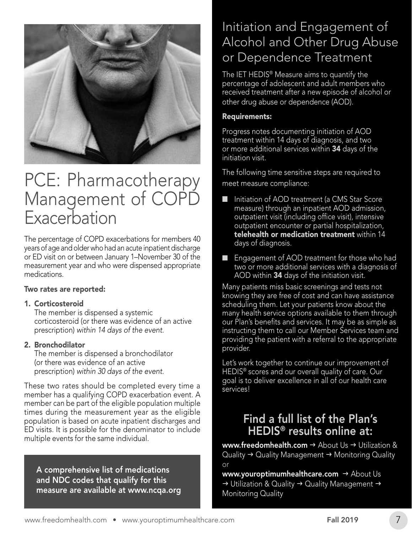

### PCE: Pharmacotherapy Management of COPD Exacerbation

The percentage of COPD exacerbations for members 40 years of age and older who had an acute inpatient discharge or ED visit on or between January 1–November 30 of the measurement year and who were dispensed appropriate medications.

#### Two rates are reported:

#### 1. Corticosteroid

The member is dispensed a systemic corticosteroid (or there was evidence of an active prescription) *within 14 days of the event.*

#### 2. Bronchodilator

The member is dispensed a bronchodilator (or there was evidence of an active prescription) *within 30 days of the event.*

These two rates should be completed every time a member has a qualifying COPD exacerbation event. A member can be part of the eligible population multiple times during the measurement year as the eligible population is based on acute inpatient discharges and ED visits. It is possible for the denominator to include multiple events for the same individual.

A comprehensive list of medications and NDC codes that qualify for this measure are available at [www.ncqa.org](https://www.ncqa.org)

#### Initiation and Engagement of Alcohol and Other Drug Abuse or Dependence Treatment

The IET HEDIS® Measure aims to quantify the percentage of adolescent and adult members who received treatment after a new episode of alcohol or other drug abuse or dependence (AOD).

#### Requirements:

Progress notes documenting initiation of AOD treatment within 14 days of diagnosis, and two or more additional services within 34 days of the initiation visit.

The following time sensitive steps are required to meet measure compliance:

- Initiation of AOD treatment (a CMS Star Score measure) through an inpatient AOD admission, outpatient visit (including office visit), intensive outpatient encounter or partial hospitalization, telehealth or medication treatment within 14 days of diagnosis.
- Engagement of AOD treatment for those who had two or more additional services with a diagnosis of AOD within 34 days of the initiation visit.

Many patients miss basic screenings and tests not knowing they are free of cost and can have assistance scheduling them. Let your patients know about the many health service options available to them through our Plan's benefits and services. It may be as simple as instructing them to call our Member Services team and providing the patient with a referral to the appropriate provider.

Let's work together to continue our improvement of HEDIS® scores and our overall quality of care. Our goal is to deliver excellence in all of our health care services!

#### Find a full list of the Plan's HEDIS® results online at:

[www.freedomhealth.com](https://www.freedomhealth.com)  $\rightarrow$  About Us  $\rightarrow$  Utilization & Quality  $\rightarrow$  Quality Management  $\rightarrow$  Monitoring Quality or

[www.youroptimumhealthcare.com](https://www.youroptimumhealthcare.com)  $\rightarrow$  About Us  $\rightarrow$  Utilization & Quality  $\rightarrow$  Quality Management  $\rightarrow$ Monitoring Quality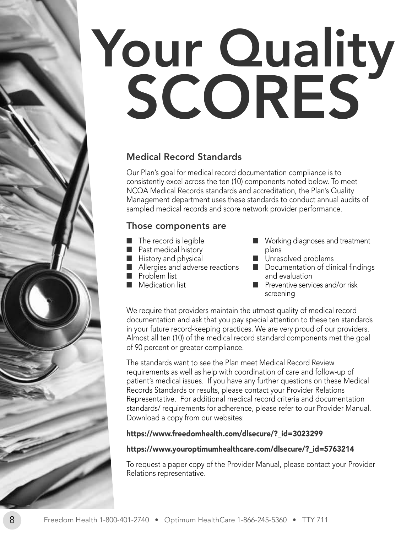# Your Quality SCORES

#### Medical Record Standards

Our Plan's goal for medical record documentation compliance is to consistently excel across the ten (10) components noted below. To meet NCQA Medical Records standards and accreditation, the Plan's Quality Management department uses these standards to conduct annual audits of sampled medical records and score network provider performance.

#### Those components are

- The record is legible
- Past medical history
- History and physical
- Allergies and adverse reactions
- Problem list
- Medication list
- Working diagnoses and treatment plans
- Unresolved problems
- Documentation of clinical findings and evaluation
- Preventive services and/or risk screening

We require that providers maintain the utmost quality of medical record documentation and ask that you pay special attention to these ten standards in your future record-keeping practices. We are very proud of our providers. Almost all ten (10) of the medical record standard components met the goal of 90 percent or greater compliance.

The standards want to see the Plan meet Medical Record Review requirements as well as help with coordination of care and follow-up of patient's medical issues. If you have any further questions on these Medical Records Standards or results, please contact your Provider Relations Representative. For additional medical record criteria and documentation standards/ requirements for adherence, please refer to our Provider Manual. Download a copy from our websites:

#### [https://www.freedomhealth.com/dlsecure/?\\_id=3023299](https://www.freedomhealth.com/dlsecure/?_id=3023299)

#### [https://www.youroptimumhealthcare.com/dlsecure/?\\_id=5763214](https://www.youroptimumhealthcare.com/dlsecure/?_id=5763214)

To request a paper copy of the Provider Manual, please contact your Provider Relations representative.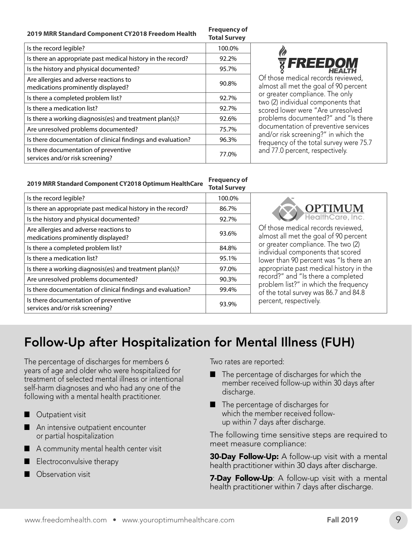#### **2019 MRR Standard Component CY2018 Freedom Health Frequency of**

#### **Total Survey**

|                                                                              | <b>IULAI JUIVEY</b> |  |
|------------------------------------------------------------------------------|---------------------|--|
| Is the record legible?                                                       | 100.0%              |  |
| Is there an appropriate past medical history in the record?                  | 92.2%               |  |
| Is the history and physical documented?                                      | 95.7%               |  |
| Are allergies and adverse reactions to<br>medications prominently displayed? | 90.8%               |  |
| Is there a completed problem list?                                           | 92.7%               |  |
| Is there a medication list?                                                  | 92.7%               |  |
| Is there a working diagnosis(es) and treatment plan(s)?                      | 92.6%               |  |
| Are unresolved problems documented?                                          | 75.7%               |  |
| Is there documentation of clinical findings and evaluation?                  | 96.3%               |  |
| Is there documentation of preventive<br>services and/or risk screening?      | 77.0%               |  |



Of those medical records reviewed, almost all met the goal of 90 percent or greater compliance. The only two (2) individual components that scored lower were "Are unresolved problems documented?" and "Is there documentation of preventive services and/or risk screening?" in which the frequency of the total survey were 75.7 and 77.0 percent, respectively.

#### **2019 MRR Standard Component CY2018 Optimum HealthCare Frequency of Total Survey**

|                                                                              | <u>ivuu Juliet</u> |
|------------------------------------------------------------------------------|--------------------|
| Is the record legible?                                                       | 100.0%             |
| Is there an appropriate past medical history in the record?                  | 86.7%              |
| Is the history and physical documented?                                      | 92.7%              |
| Are allergies and adverse reactions to<br>medications prominently displayed? | 93.6%              |
| Is there a completed problem list?                                           | 84.8%              |
| Is there a medication list?                                                  | 95.1%              |
| Is there a working diagnosis(es) and treatment plan(s)?                      | 97.0%              |
| Are unresolved problems documented?                                          | 90.3%              |
| Is there documentation of clinical findings and evaluation?                  | 99.4%              |
| Is there documentation of preventive<br>services and/or risk screening?      | 93.9%              |



Of those medical records reviewed, almost all met the goal of 90 percent or greater compliance. The two (2) individual components that scored lower than 90 percent was "Is there an appropriate past medical history in the record?" and "Is there a completed problem list?" in which the frequency of the total survey was 86.7 and 84.8 percent, respectively.

#### Follow-Up after Hospitalization for Mental Illness (FUH)

The percentage of discharges for members 6 years of age and older who were hospitalized for treatment of selected mental illness or intentional self-harm diagnoses and who had any one of the following with a mental health practitioner.

- Outpatient visit
- An intensive outpatient encounter or partial hospitalization
- A community mental health center visit
- Electroconvulsive therapy
- Observation visit

Two rates are reported:

- The percentage of discharges for which the member received follow-up within 30 days after discharge.
- The percentage of discharges for which the member received followup within 7 days after discharge.

The following time sensitive steps are required to meet measure compliance:

**30-Day Follow-Up:** A follow-up visit with a mental health practitioner within 30 days after discharge.

**7-Day Follow-Up:** A follow-up visit with a mental health practitioner within 7 days after discharge.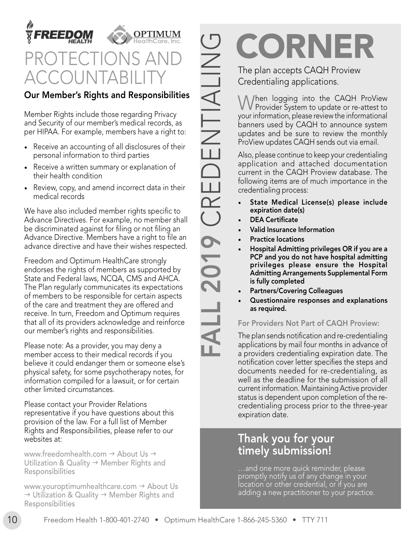



## **DTECTIO** ACCOUNTABILITY

#### Our Member's Rights and Responsibilities

Member Rights include those regarding Privacy and Security of our member's medical records, as per HIPAA. For example, members have a right to:

- Receive an accounting of all disclosures of their personal information to third parties
- Receive a written summary or explanation of their health condition
- Review, copy, and amend incorrect data in their medical records

We have also included member rights specific to Advance Directives. For example, no member shall be discriminated against for filing or not filing an Advance Directive. Members have a right to file an advance directive and have their wishes respected.

Freedom and Optimum HealthCare strongly endorses the rights of members as supported by State and Federal laws, NCQA, CMS and AHCA. The Plan regularly communicates its expectations of members to be responsible for certain aspects of the care and treatment they are offered and receive. In turn, Freedom and Optimum requires that all of its providers acknowledge and reinforce our member's rights and responsibilities.

Please note: As a provider, you may deny a member access to their medical records if you believe it could endanger them or someone else's physical safety, for some psychotherapy notes, for information compiled for a lawsuit, or for certain other limited circumstances.

Please contact your Provider Relations representative if you have questions about this provision of the law. For a full list of Member Rights and Responsibilities, please refer to our websites at:

[www.freedomhealth.com](https://www.freedomhealth.com)  $\rightarrow$  About Us  $\rightarrow$ Utilization & Quality  $\rightarrow$  Member Rights and Responsibilities

[www.youroptimumhealthcare.com](https://www.youroptimumhealthcare.com)  $\rightarrow$  About Us  $\rightarrow$  Utilization & Quality  $\rightarrow$  Member Rights and Responsibilities

FRAMET IN The plan accepts CAQH Proview<br>
Credentialing applications.<br>
When logging into the CAQH ProView<br>
Yourinformation, please evident of re-attest to<br>
yourinformation, please evident of anomone system<br>
updates and be s

# The plan accepts CAQH Proview

Credentialing applications.

When logging into the CAQH ProView Provider System to update or re-attest to your information, please review the informational banners used by CAQH to announce system updates and be sure to review the monthly ProView updates CAQH sends out via email.

Also, please continue to keep your credentialing application and attached documentation current in the CAQH Proview database. The following items are of much importance in the credentialing process:

- State Medical License(s) please include expiration date(s)
- **DEA Certificate**
- Valid Insurance Information
- **Practice locations**
- Hospital Admitting privileges OR if you are a PCP and you do not have hospital admitting privileges please ensure the Hospital Admitting Arrangements Supplemental Form is fully completed
- Partners/Covering Colleagues
- Questionnaire responses and explanations as required.

#### For Providers Not Part of CAQH Proview:

The plan sends notification and re-credentialing applications by mail four months in advance of a providers credentialing expiration date. The notification cover letter specifies the steps and documents needed for re-credentialing, as well as the deadline for the submission of all current information. Maintaining Active provider status is dependent upon completion of the recredentialing process prior to the three-year expiration date.

#### Thank you for your timely submission!

…and one more quick reminder, please promptly notify us of any change in your location or other credential, or if you are adding a new practitioner to your practice.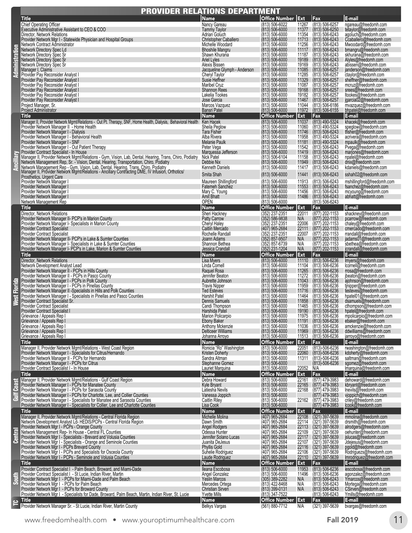|                         | <b>PROVIDER RELATIONS DEPARTMENT</b>                                                                                                                                                                                                                                                                                                                                                                                                                                                                                                                                                                                                                                                                                                                                                                                                                                                                                                                                                                                                                                                                                                                                                                |                                                                                                                                                                                                                                                                                                                                                                                                                                                                                                         |                                                                                                                                                                                                                                                                                                                                                                                                                                                                                                                                                               |                                                                                                                                                                                                                                                        |                                                                                                                                                                                                                                                                                                                                                                                                                                                            |                                                                                                                                                                                                                                                                                                                                                                                                                                                                                                                                                                                                                                             |
|-------------------------|-----------------------------------------------------------------------------------------------------------------------------------------------------------------------------------------------------------------------------------------------------------------------------------------------------------------------------------------------------------------------------------------------------------------------------------------------------------------------------------------------------------------------------------------------------------------------------------------------------------------------------------------------------------------------------------------------------------------------------------------------------------------------------------------------------------------------------------------------------------------------------------------------------------------------------------------------------------------------------------------------------------------------------------------------------------------------------------------------------------------------------------------------------------------------------------------------------|---------------------------------------------------------------------------------------------------------------------------------------------------------------------------------------------------------------------------------------------------------------------------------------------------------------------------------------------------------------------------------------------------------------------------------------------------------------------------------------------------------|---------------------------------------------------------------------------------------------------------------------------------------------------------------------------------------------------------------------------------------------------------------------------------------------------------------------------------------------------------------------------------------------------------------------------------------------------------------------------------------------------------------------------------------------------------------|--------------------------------------------------------------------------------------------------------------------------------------------------------------------------------------------------------------------------------------------------------|------------------------------------------------------------------------------------------------------------------------------------------------------------------------------------------------------------------------------------------------------------------------------------------------------------------------------------------------------------------------------------------------------------------------------------------------------------|---------------------------------------------------------------------------------------------------------------------------------------------------------------------------------------------------------------------------------------------------------------------------------------------------------------------------------------------------------------------------------------------------------------------------------------------------------------------------------------------------------------------------------------------------------------------------------------------------------------------------------------------|
| stration<br>ą           | Title<br><b>Chief Operating Officer</b><br>Executive Administrative Assistant to CEO & COO<br>Director, Network Relations<br>Provider Network Mgr I - Statewide Physician and Hospital Groups<br>Network Contract Administrator<br>Network Directory Spec Ld<br>Network Directory Spec Sr<br>Network Directory Spec Sr<br>Network Directory Spec Sr<br>Manager I, Claims<br>Provider Pay Reconsider Analyst I<br>Provider Pay Reconsider Analyst<br>Provider Pay Reconsider Analyst I<br>Provider Pay Reconsider Analyst I<br>Provider Pay Reconsider Analyst I<br>Provider Pay Reconsider Analyst I<br>Project Manager, Sr.<br>Project Administrator                                                                                                                                                                                                                                                                                                                                                                                                                                                                                                                                               | Name<br>Nancy Gareau<br><b>Tammy Taylor</b><br>Adrian Goluch<br><b>Christopher Caballero</b><br>Michelle Woodard<br><b>Bhoshile Mangru</b><br>Shawn Khurana<br><b>Ariel Lyles</b><br>Alexis Bissen<br>Jacqueline Glymph - Anderson<br>Cheryl Taylor<br>Susie Heffner<br>Maribel Cruz<br><b>Shannon Rees</b><br>Lakelia Tookes<br>Jose Garcia<br>Marcos Vazquez<br><b>Bansri Patel</b>                                                                                                                   | Office Number Ext<br>$(813) 506 - 6022$<br>$(813) 506 - 6000$<br>(813) 506-6000<br>$(813) 506 - 6000$<br>(813) 506-6000<br>$(813) 506 - 6000$<br>(813) 506-6000<br>$(813) 506 - 6000$<br>(813) 506-6000<br>$(813) 506 - 6000$<br>(813) 506-6000<br>$(813) 506 - 6000$<br>(813) 506-6000<br>(813) 506-6000<br>$(813) 506 - 6000$<br>$(813) 506 - 6000$<br>$(813) 506 - 6000$<br>(813) 506-6000                                                                                                                                                                 | Fax<br>11267<br>11377<br>11354<br>11713<br>11256<br>11117<br>11187<br>19189<br>19169<br>11085<br>11285<br>11329<br>11087<br>19168<br>19182<br>11467<br>11044<br>11972                                                                                  | (813) 506-6257<br>(813) 506-6250<br>(813) 506-6243<br>(813) 506-6243<br>(813) 506-6243<br>(813) 506-6243<br>$(813) 506-6243$<br>$(813) 506-6243$<br>$(813) 506-6243$<br>$(813) 506-6257$<br>(813) 506-6257<br>(813) 506-6257<br>(813) 506-6257<br>(813) 506-6257<br>(813) 506-6257<br>(813) 506-6257<br>$(813) 506 - 6186$<br>$(813)$ 506-6155                                                                                                             | E-mail<br>ngareau@freedomh.com<br>tetaylor@freedomh.com<br>agoluch@freedomh.com<br>Ccaballero@freedomh.com<br>Mwoodard@freedomh.com<br>bmangru@freedomh.com<br>skhurana@freedomh.com<br>Alyles@freedomh.com<br>abissen@freedomh.com<br>janderson@freedomh.com<br>ctaylor@freedomh.com<br>sheffner@freedomh.com<br>mcruz@freedomh.com<br>srees@freedomh.com<br>ltookes@freedomh.com<br>jgarcia02@freedomh.com<br>mvazquez@freedomh.com<br>bhpatel@freedomh.com                                                                                                                                                                               |
| Ē                       | Title<br>Manager II, Provider Network Mgmt/Relations - Out Pt. Therapy, SNF, Home Health, Dialysis, Behavioral Health Ken Hacek<br>Provider Network Manager II - Home Health<br>Provider Network Manager I - Dialysis<br>Provider Network Manager I - Behavioral Health<br>Provider Network Manager I - SNF<br>Provider Network Manager I - Out Patient Therapy<br>Provider Contract Specialist - In House<br>Manager II, Provider Network Mgmt/Relations - Gym, Vision, Lab, Dental, Hearing, Trans, Chiro, Podiatry<br>Network Management Rep, Sr. - Vision, Dental, Hearing, Transportation, Chiro, Podiatry<br>Network Management Rep - Gym, Vision, Lab, Dental, Hearing, Trans, Chiro, Podiatry<br>Manager II, Provider Network Mgmt/Relations - Ancillary Contracting DME, IV Infusion, Orthotics/<br>Prosthetics, Urgent Care<br>Provider Network Manager<br>Provider Network Manager<br>Provider Network Manager<br>Provider Network Manager<br>Network Management Rep                                                                                                                                                                                                                     | Name<br>Sheila Peglow<br><b>Tara Fisher</b><br>Alba Rivera<br>Melanie Paulk<br>Peter Vega<br>Marquessa Jefferson<br>Nick Patel<br>Debbie Nix<br>Kenneth Daniels<br>Smita Shah<br>Maureen Shillingford<br><b>Fatemeh Sanchez</b><br>Mary C. Young<br>Amit Bhatt<br>open                                                                                                                                                                                                                                  | Office Number Ext<br>$(813) 506 - 6000$<br>(813) 506-6000<br>$(813) 506 - 6000$<br>$(813) 506 - 6000$<br>$(813) 506 - 6000$<br>$(813) 506 - 6000$<br>$(813) 506 - 6000$<br>(813) 506-6104<br>$(813) 506 - 6000$<br>$(813) 506 - 6000$<br>$(813) 506 - 6000$<br>(813) 506-6000<br>$(813) 506 - 6000$<br>(813) 506-6000<br>(813) 506-6000<br>(813) 506-6000                                                                                                                                                                                                     | Fax<br>11037<br>11060<br>11746<br>11958<br>11181<br>11542<br>11419<br>11158<br>11949<br>11417<br>11441<br>11913<br>11553<br>11456<br>11486                                                                                                             | (813) 490-5324<br>(813) 490-5324<br>$(813) 506-6243$<br>$(813) 490-5324$<br>$(813) 490-5324$<br>$(813) 506-6243$<br>(813) 506-6243<br>(813) 506-6243<br>(813) 506-6243<br>$(813) 506 - 6243$<br>(813) 506-6243<br>(813) 506-6243<br>(813) 506-6243<br>(813) 506-6243<br>(813) 506-6243<br>(813) 506-6243                                                                                                                                                   | E-mail<br>khacek@freedomh.com<br>speglow@freedomh.com<br>tfisher@freedomh.com<br>acrivera@freedomh.com<br>mpaulk@freedomh.com<br>Pvega@freedomh.com<br>marjones@freedomh.com<br>npatel@freedomh.com<br>dnix@freedomh.com<br>kdaniels@freedomh.com<br>sshah02@freedomh.com<br>mshillingford@freedomh.com<br>fsanchez@freedomh.com<br>mcyoung@freedomh.com<br>abhatt@freedomh.com                                                                                                                                                                                                                                                             |
| Florida<br><u>ន</u> ្ល  | <b>Title</b><br>Director, Network Relations<br>Provider Network Manager II- PCP's in Marion County<br>Provider Network Manager I- Specialists in Marion County<br><b>Provider Contract Specialist</b><br><b>Provider Contract Specialist</b><br>Provider Network Manager II- PCP's in Lake & Sumter Counties<br>Provider Network Manager I- Specialists in Lake & Sumter Counties<br>Provider Network Manager I- PCP's in Lake, Marion & Sumter Counties<br><b>Title</b><br>Director, Network Relations<br>Network Development Analyst Lead<br>Provider Network Manager II - PCPs in Hills County<br>Provider Network Manager II - PCPs in Pasco County<br>Provider Network Manager I - PCPs in Polk County<br>Provider Network Manager I - PCPs in Pinellas County<br>Provider Network Manager II -Specialists in Hills and Polk Counties<br>Provider Network Manager I - Specialists in Pinellas and Pasco Counties<br>Provider Contract Specialist Sr.<br><b>Provider Contract Specialist</b><br>Provider Contract Specialist I<br>Grievance / Appeals Rep I<br>Grievance / Appeals Rep I<br>Grievance / Appeals Rep I<br>Grievance / Appeals Rep I<br>Grievance / Appeals Rep I<br>Title        | <b>Name</b><br>Sheri Hackney<br><b>Patty Carrow</b><br>Cheryl Haley<br>Caitlin Mercado<br>Rochelle Randall<br>Joann Adams<br>Shannon Bethea<br>Jessica Crandall<br><b>Name</b><br>Lisa Myers<br>Linda Cornell<br>Raquel Rosa<br>Jennifer Beaton<br>Aubrette Johnson<br><b>Travis Nipper</b><br><b>Ted Esteves</b><br>Harshit Patel<br>Dennis Samuels<br>Candi Thompson<br>Harshida Patel<br><b>Marion Policarpio</b><br>Ebony Baker<br>Anthony Mckenzie<br>Delticeer Williams<br>Johanna Arroyo<br>Name | Office Number Ext<br>(352) 237-2351<br>(352) 586-9838<br>(352) 237-2351<br>(407) 965-2684<br>(352) 237-2351<br>(352) 237-2351<br>(352) 857-9507<br>(352) 857-6739<br>(352) 231-1204<br><b>Office Number</b><br>$(813) 506 - 6000$<br>(813) 506-6000<br>$(813) 506 - 6000$<br>(813) 506-6000<br>$(813) 506 - 6000$<br>(813) 506-6000<br>$(813) 506 - 6000$<br>(813) 506-6000<br>$(813)$ 506-6000<br>(813) 506-6000<br>(813) 506-6000<br>(813) 506-6000<br>$(813) 506 - 6000$<br>(813) 506-6000<br>$(813) 506 - 6000$<br>(813) 506-6000<br><b>Office Number</b> | Fax<br>22011<br>N/A<br>22006<br>22111<br>22007<br>N/A<br>N/A<br>N/A<br><b>Ext</b><br>Fax<br>11110<br>11104<br>11265<br>11272<br>11043<br>11959<br>11716<br>11464<br>11858<br>11465<br>19190<br>11975<br>11191<br>11036<br>11969<br>11513<br>Ext<br>Fax | (877) 202-1153<br>(877) 202-1153<br>(877) 202-1153<br>(877) 202-1153<br>(877) 202-1153<br>(877) 202-1153<br>(877) 202-1153<br>(877) 202-1153<br>(813) 506-6236<br>(813) 506-6236<br>(813) 506-6236<br>(813) 506-6236<br>(813) 506-6236<br>(813) 506-6236<br>$(813) 506 - 6236$<br>(813) 506-6236<br>$(813)$ 506-6236<br>$(813)$ 506-6236<br>(813) 506-6236<br>(813) 506-6236<br>(813) 506-6236<br>(813) 506-6236<br>$(813) 506 - 6236$<br>$(813)$ 506-6236 | E-mail<br>shackney@freedomh.com<br>pcarrow@freedomh.com<br>chaley@freedomh.com<br>cmercado@freedomh.com<br>rrandall@freedomh.com<br>jadams01@freedomh.com<br>sbethea@freedomh.com<br>jcrandall@freedomh.com<br>E-mail<br>Imyers@freedomh.com<br>lcornell@freedomh.com<br>rrosa@freedomh.com<br>jbeaton@freedomh.com<br>ajohnson@freedomh.com<br>tinipper@freedomh.com<br>testeves@freedomh.com<br>hpatel01@freedomh.com<br>dsamuels@freedomh.com<br>cthompson@freedomh.com<br>hpatel@freedomh.com<br>mpolicarpio@freedomh.com<br>ebaker@freedomh.com<br>amckenzie@freedomh.com<br>ddwilliams@freedomh.com<br>jarroyo@freedomh.com<br>E-mail |
| <b>Coast</b><br>కె<br>g | Manager II, Provider Network Mgmt/Relations - West Coast Region<br>Provider Network Manager I - Specialists for Citrus/Hernando<br>Provider Network Manager II - PCPs for Hernando<br>Provider Network Manager I - PCPs for Citrus<br>Provider Contract Specialist I - In House<br><b>Title</b><br>Manager II, Provider Network Mgmt/Relations - Gulf Coast Region<br>Provider Network Manager I - PCPs for Manatee County<br>Provider Network Manager I - PCPs for Sarasota County<br>Provider Network Manager I - PCPs for Charlotte, Lee, and Collier Counties<br>Provider Network Manager I - Specialists for Manatee and Sarasota Counties<br>Provider Network Manager I - Specialists for Collier, Lee and Charlotte Counties<br>Title<br>Manager II, Provider Network Mgmt/Relations - Central Florida Region<br>Network Development Analyst Ld-HEDIS/PCPs - Central Florida Region<br>Provider Network Mgr I - PCPs - Orange County<br>Network Management Rep- In House - Central FL Counties<br>Provider Network Mgr I - Specialists - Brevard and Volusia Counties<br>Provider Network Mgr I - Specialists - Orange and Seminole Counties<br>Provider Network Mgr I - PCPs Brevard County | Ronicia "Ro" Washington<br>Kristen Doherty<br>Sandra Altman<br>Stephanne Gomez<br>Lauriet Marquina<br><b>Name</b><br>Debra Howard<br><b>Kyle Bryant</b><br>Latiesha Nevils<br>Vanessa Joppich<br>Caitlin Riley<br>Lisa Cook<br><b>Name</b><br>Michelle Molina<br>Dawn Smith<br>Angel Rodgers<br>Odessa Hunter<br>Jennifer Solano Lucas<br>Juanita DeJesus                                                                                                                                               | $(813) 506 - 6000$<br>$(813) 506 - 6000$<br>$(813) 506 - 6000$<br>$(813) 506 - 6000$<br>(813) 506-6000<br><b>Office Number</b><br>$(813) 506 - 6000$<br>$(813) 506 - 6000$<br>(813) 506-6000<br>(813) 506-6000<br>(813) 506-6000<br>$(813) 506 - 6000$<br><b>Office Number</b><br><b>CHILE NATIONAL SECTION SECTION</b><br>(407) 965-2684<br>(407) 965-2684<br>(407) 965-2684<br>(407) 965-2684<br>(407) 965-2684<br>(407) 965-2684<br>(407) 965-2684<br>(407) 965-2684<br>(407) 965-2684                                                                     | 22051<br>22060<br>11311<br>22052<br>N/A<br><b>Ext</b><br>Fax<br>22161<br>22165<br>22168<br>22162<br>Ext<br>Fax<br>22108<br>22114<br>22113<br>22109<br>22117<br>22107                                                                                   | (813)-506-6236<br>(813)-506-6236<br>(813)-506-6236<br>$(813) - 506 - 6236$<br>(877) 479-3983<br>(877) 479-3983<br>(877) 479-3983<br>(877) 479-3983<br>(877) 479-3983<br>(877) 479-3983<br>Fax<br>(321) 397-5639<br>(321) 397-5639<br>(321) 397-5639<br>(321) 397-5639<br>(321) 397-5639<br>(321) 397-5639<br>(321) 397-5639<br>(321) 397-5639                                                                                                              | rwashington@freedomh.com<br>kdoherty@freedomh.com<br>saltman@freedomh.com<br>sgomez@freedomh.com<br>Imarquina@freedomh.com<br>E-mail<br>dehoward@freedomh.com<br>kbryant@freedomh.com<br>Inevils@freedomh.com<br>vjoppich@freedomh.com<br>criley@freedomh.com<br>lcook@freedomh.com<br>E-mail<br>mmolina@freedomh.com<br>drsmith@freedomh.com<br>alrodgers@freedomh.com<br>oehunter@freedomh.com<br>jslucas@freedomh.com<br>Jdejesus@freedomh.com                                                                                                                                                                                           |
| South                   | Provider Network Mgr I - PCPs and Specialists for Osceola County<br>Provider Network Mgr I - PCPs - Seminole and Volusia Counties<br>Title<br>Provider Contract Specialist I - Palm Beach, Broward, and Miami-Dade<br>Provider Contract Specialist I - St Lucie, Indian River, Martin<br>Provider Network Mgr I - PCPs for Miami-Dade and Palm Beach<br>Provider Network Mgr I - PCPs for Palm Beach<br>Provider Network Mgr I - PCPs for Broward County<br>Provider Network Mgr I - Specialists for Dade, Broward, Palm Beach, Martin, Indian River, St. Lucie<br>Title<br>Provider Network Manager Sr. - St Lucie, Indian River, Martin County                                                                                                                                                                                                                                                                                                                                                                                                                                                                                                                                                    | <b>Phyllis Gold</b><br>Suhelie Rodriguez<br>Laude Rodriguez<br><b>Name</b><br>Ileana Escobosa<br>Angel Gonzalez<br>Yeslin Marcos<br>Mercedes Ortega<br>Christian Sirven<br>Yvette Mills<br>Name<br>Belkys Vargas                                                                                                                                                                                                                                                                                        | <b>Office Number</b><br>$(813) 506 - 6000$<br>(813) 506-6000<br>$(305) 389 - 2282$<br>(813) 422-8468<br>(813) 399-0131<br>(813) 347-7522<br>Office Number Ext<br>(561) 880-7712                                                                                                                                                                                                                                                                                                                                                                               | 22116<br>22106<br>22110<br><b>Ext</b><br>Fax<br>11953<br>11496<br>N/A<br>N/A<br>N/A<br>Fax<br>N/A                                                                                                                                                      | (813) 506-6236<br>(813) 506-6236<br>(813) 506-6243<br>(813) 506-6243<br>(813) 506-6243<br>(813) 506-6243<br>(321) 397-5639                                                                                                                                                                                                                                                                                                                                 | pgold@freedomh.com<br>Rodriguezs@freedomh.com<br>Imrodriguez@freedomh.com<br>E-mail<br>iescobosa@freedomh.com<br>agonzalez@freedomh.com<br>Ymarcos@freedomh.com<br>Mortega@freedomh.com<br>CSirven@freedomh.com<br>Ymills@freedomh.com<br>E-mail<br>bvargas@freedomh.com                                                                                                                                                                                                                                                                                                                                                                    |

[www.freedomhealth.com](https://www.freedomhealth.com) • [www.youroptimumhealthcare.com](https://www.youroptimumhealthcare.com) Fall 2019 Fall 2019 11